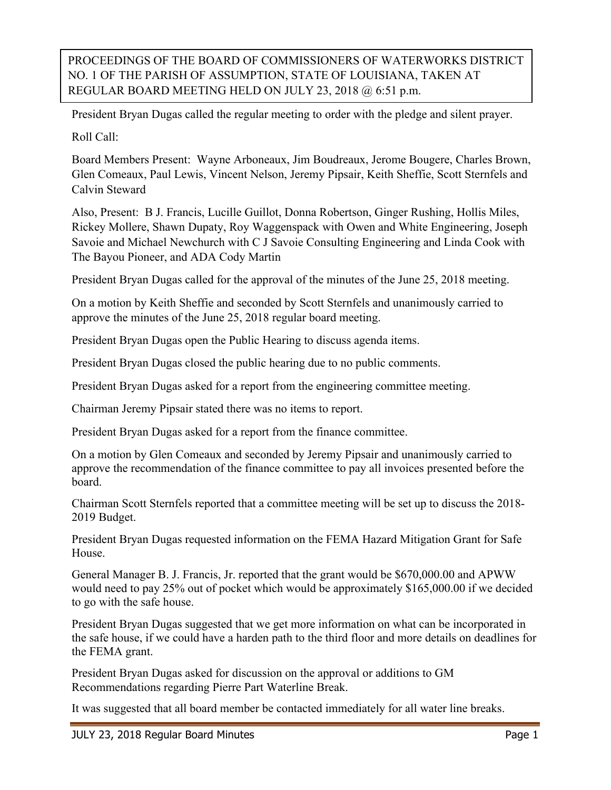PROCEEDINGS OF THE BOARD OF COMMISSIONERS OF WATERWORKS DISTRICT NO. 1 OF THE PARISH OF ASSUMPTION, STATE OF LOUISIANA, TAKEN AT REGULAR BOARD MEETING HELD ON JULY 23, 2018 @ 6:51 p.m.

President Bryan Dugas called the regular meeting to order with the pledge and silent prayer.

Roll Call:

Board Members Present: Wayne Arboneaux, Jim Boudreaux, Jerome Bougere, Charles Brown, Glen Comeaux, Paul Lewis, Vincent Nelson, Jeremy Pipsair, Keith Sheffie, Scott Sternfels and Calvin Steward

Also, Present: B J. Francis, Lucille Guillot, Donna Robertson, Ginger Rushing, Hollis Miles, Rickey Mollere, Shawn Dupaty, Roy Waggenspack with Owen and White Engineering, Joseph Savoie and Michael Newchurch with C J Savoie Consulting Engineering and Linda Cook with The Bayou Pioneer, and ADA Cody Martin

President Bryan Dugas called for the approval of the minutes of the June 25, 2018 meeting.

On a motion by Keith Sheffie and seconded by Scott Sternfels and unanimously carried to approve the minutes of the June 25, 2018 regular board meeting.

President Bryan Dugas open the Public Hearing to discuss agenda items.

President Bryan Dugas closed the public hearing due to no public comments.

President Bryan Dugas asked for a report from the engineering committee meeting.

Chairman Jeremy Pipsair stated there was no items to report.

President Bryan Dugas asked for a report from the finance committee.

On a motion by Glen Comeaux and seconded by Jeremy Pipsair and unanimously carried to approve the recommendation of the finance committee to pay all invoices presented before the board.

Chairman Scott Sternfels reported that a committee meeting will be set up to discuss the 2018- 2019 Budget.

President Bryan Dugas requested information on the FEMA Hazard Mitigation Grant for Safe House.

General Manager B. J. Francis, Jr. reported that the grant would be \$670,000.00 and APWW would need to pay 25% out of pocket which would be approximately \$165,000.00 if we decided to go with the safe house.

President Bryan Dugas suggested that we get more information on what can be incorporated in the safe house, if we could have a harden path to the third floor and more details on deadlines for the FEMA grant.

President Bryan Dugas asked for discussion on the approval or additions to GM Recommendations regarding Pierre Part Waterline Break.

It was suggested that all board member be contacted immediately for all water line breaks.